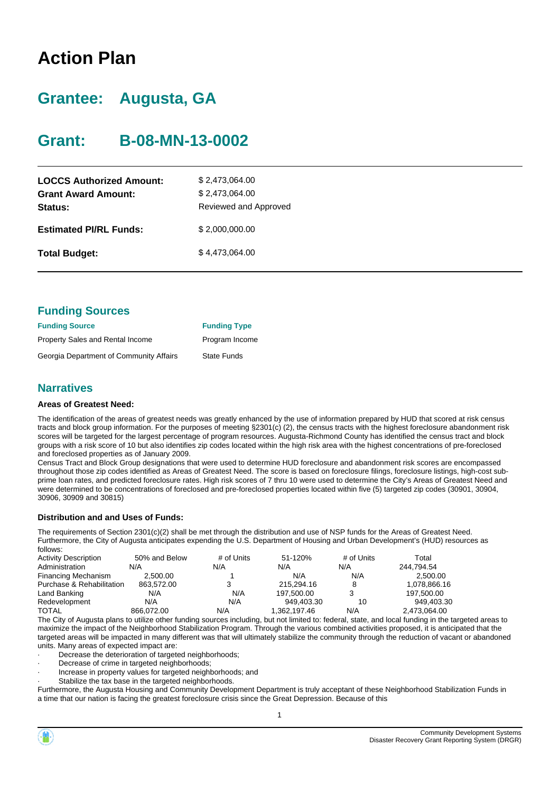# **Action Plan**

# **Grantee: Augusta, GA**

# **Grant: B-08-MN-13-0002**

| <b>LOCCS Authorized Amount:</b><br><b>Grant Award Amount:</b><br>Status: | \$2,473,064.00<br>\$2,473,064.00<br>Reviewed and Approved |
|--------------------------------------------------------------------------|-----------------------------------------------------------|
| <b>Estimated PI/RL Funds:</b>                                            | \$2,000,000.00                                            |
| <b>Total Budget:</b>                                                     | \$4,473,064.00                                            |

| <b>Funding Sources</b>                  |                     |
|-----------------------------------------|---------------------|
| <b>Funding Source</b>                   | <b>Funding Type</b> |
| Property Sales and Rental Income        | Program Income      |
| Georgia Department of Community Affairs | <b>State Funds</b>  |

### **Narratives**

#### **Areas of Greatest Need:**

The identification of the areas of greatest needs was greatly enhanced by the use of information prepared by HUD that scored at risk census tracts and block group information. For the purposes of meeting §2301(c) (2), the census tracts with the highest foreclosure abandonment risk scores will be targeted for the largest percentage of program resources. Augusta-Richmond County has identified the census tract and block groups with a risk score of 10 but also identifies zip codes located within the high risk area with the highest concentrations of pre-foreclosed and foreclosed properties as of January 2009.

Census Tract and Block Group designations that were used to determine HUD foreclosure and abandonment risk scores are encompassed throughout those zip codes identified as Areas of Greatest Need. The score is based on foreclosure filings, foreclosure listings, high-cost subprime loan rates, and predicted foreclosure rates. High risk scores of 7 thru 10 were used to determine the City's Areas of Greatest Need and were determined to be concentrations of foreclosed and pre-foreclosed properties located within five (5) targeted zip codes (30901, 30904, 30906, 30909 and 30815)

#### **Distribution and and Uses of Funds:**

The requirements of Section 2301(c)(2) shall be met through the distribution and use of NSP funds for the Areas of Greatest Need. Furthermore, the City of Augusta anticipates expending the U.S. Department of Housing and Urban Development's (HUD) resources as follows:

| <b>Activity Description</b> | 50% and Below | # of Units | 51-120%      | # of Units | Total        |  |
|-----------------------------|---------------|------------|--------------|------------|--------------|--|
| Administration              | N/A           | N/A        | N/A          | N/A        | 244.794.54   |  |
| <b>Financing Mechanism</b>  | 2.500.00      |            | N/A          | N/A        | 2.500.00     |  |
| Purchase & Rehabilitation   | 863.572.00    |            | 215.294.16   |            | 1.078.866.16 |  |
| Land Banking                | N/A           | N/A        | 197.500.00   |            | 197,500.00   |  |
| Redevelopment               | N/A           | N/A        | 949.403.30   | 10         | 949.403.30   |  |
| <b>TOTAL</b>                | 866.072.00    | N/A        | 1,362,197.46 | N/A        | 2,473,064.00 |  |

The City of Augusta plans to utilize other funding sources including, but not limited to: federal, state, and local funding in the targeted areas to maximize the impact of the Neighborhood Stabilization Program. Through the various combined activities proposed, it is anticipated that the targeted areas will be impacted in many different was that will ultimately stabilize the community through the reduction of vacant or abandoned units. Many areas of expected impact are:

Decrease the deterioration of targeted neighborhoods;

Decrease of crime in targeted neighborhoods;

· Increase in property values for targeted neighborhoods; and

Stabilize the tax base in the targeted neighborhoods.

Furthermore, the Augusta Housing and Community Development Department is truly acceptant of these Neighborhood Stabilization Funds in a time that our nation is facing the greatest foreclosure crisis since the Great Depression. Because of this

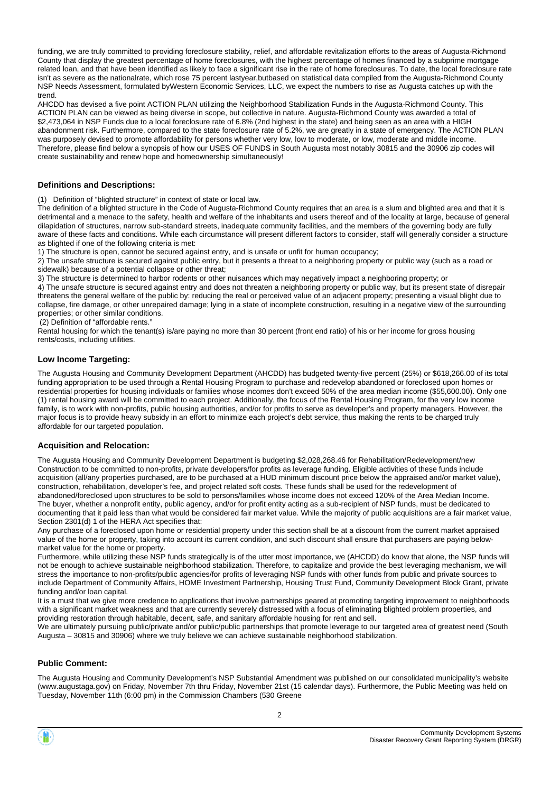funding, we are truly committed to providing foreclosure stability, relief, and affordable revitalization efforts to the areas of Augusta-Richmond County that display the greatest percentage of home foreclosures, with the highest percentage of homes financed by a subprime mortgage related loan, and that have been identified as likely to face a significant rise in the rate of home foreclosures. To date, the local foreclosure rate isn't as severe as the nationalrate, which rose 75 percent lastyear,butbased on statistical data compiled from the Augusta-Richmond County NSP Needs Assessment, formulated byWestern Economic Services, LLC, we expect the numbers to rise as Augusta catches up with the trend.

AHCDD has devised a five point ACTION PLAN utilizing the Neighborhood Stabilization Funds in the Augusta-Richmond County. This ACTION PLAN can be viewed as being diverse in scope, but collective in nature. Augusta-Richmond County was awarded a total of \$2,473,064 in NSP Funds due to a local foreclosure rate of 6.8% (2nd highest in the state) and being seen as an area with a HIGH abandonment risk. Furthermore, compared to the state foreclosure rate of 5.2%, we are greatly in a state of emergency. The ACTION PLAN was purposely devised to promote affordability for persons whether very low, low to moderate, or low, moderate and middle income. Therefore, please find below a synopsis of how our USES OF FUNDS in South Augusta most notably 30815 and the 30906 zip codes will create sustainability and renew hope and homeownership simultaneously!

#### **Definitions and Descriptions:**

(1) Definition of "blighted structure" in context of state or local law.

The definition of a blighted structure in the Code of Augusta-Richmond County requires that an area is a slum and blighted area and that it is detrimental and a menace to the safety, health and welfare of the inhabitants and users thereof and of the locality at large, because of general dilapidation of structures, narrow sub-standard streets, inadequate community facilities, and the members of the governing body are fully aware of these facts and conditions. While each circumstance will present different factors to consider, staff will generally consider a structure as blighted if one of the following criteria is met:

1) The structure is open, cannot be secured against entry, and is unsafe or unfit for human occupancy;

2) The unsafe structure is secured against public entry, but it presents a threat to a neighboring property or public way (such as a road or sidewalk) because of a potential collapse or other threat;

3) The structure is determined to harbor rodents or other nuisances which may negatively impact a neighboring property; or

4) The unsafe structure is secured against entry and does not threaten a neighboring property or public way, but its present state of disrepair threatens the general welfare of the public by: reducing the real or perceived value of an adjacent property; presenting a visual blight due to collapse, fire damage, or other unrepaired damage; lying in a state of incomplete construction, resulting in a negative view of the surrounding properties; or other similar conditions.

(2) Definition of "affordable rents."

Rental housing for which the tenant(s) is/are paying no more than 30 percent (front end ratio) of his or her income for gross housing rents/costs, including utilities.

#### **Low Income Targeting:**

The Augusta Housing and Community Development Department (AHCDD) has budgeted twenty-five percent (25%) or \$618,266.00 of its total funding appropriation to be used through a Rental Housing Program to purchase and redevelop abandoned or foreclosed upon homes or residential properties for housing individuals or families whose incomes don't exceed 50% of the area median income (\$55,600.00). Only one (1) rental housing award will be committed to each project. Additionally, the focus of the Rental Housing Program, for the very low income family, is to work with non-profits, public housing authorities, and/or for profits to serve as developer's and property managers. However, the major focus is to provide heavy subsidy in an effort to minimize each project's debt service, thus making the rents to be charged truly affordable for our targeted population.

#### **Acquisition and Relocation:**

The Augusta Housing and Community Development Department is budgeting \$2,028,268.46 for Rehabilitation/Redevelopment/new Construction to be committed to non-profits, private developers/for profits as leverage funding. Eligible activities of these funds include acquisition (all/any properties purchased, are to be purchased at a HUD minimum discount price below the appraised and/or market value), construction, rehabilitation, developer's fee, and project related soft costs. These funds shall be used for the redevelopment of abandoned/foreclosed upon structures to be sold to persons/families whose income does not exceed 120% of the Area Median Income. The buyer, whether a nonprofit entity, public agency, and/or for profit entity acting as a sub-recipient of NSP funds, must be dedicated to documenting that it paid less than what would be considered fair market value. While the majority of public acquisitions are a fair market value, Section 2301(d) 1 of the HERA Act specifies that:

Any purchase of a foreclosed upon home or residential property under this section shall be at a discount from the current market appraised value of the home or property, taking into account its current condition, and such discount shall ensure that purchasers are paying belowmarket value for the home or property.

Furthermore, while utilizing these NSP funds strategically is of the utter most importance, we (AHCDD) do know that alone, the NSP funds will not be enough to achieve sustainable neighborhood stabilization. Therefore, to capitalize and provide the best leveraging mechanism, we will stress the importance to non-profits/public agencies/for profits of leveraging NSP funds with other funds from public and private sources to include Department of Community Affairs, HOME Investment Partnership, Housing Trust Fund, Community Development Block Grant, private funding and/or loan capital.

It is a must that we give more credence to applications that involve partnerships geared at promoting targeting improvement to neighborhoods with a significant market weakness and that are currently severely distressed with a focus of eliminating blighted problem properties, and providing restoration through habitable, decent, safe, and sanitary affordable housing for rent and sell.

We are ultimately pursuing public/private and/or public/public partnerships that promote leverage to our targeted area of greatest need (South Augusta – 30815 and 30906) where we truly believe we can achieve sustainable neighborhood stabilization.

#### **Public Comment:**

The Augusta Housing and Community Development's NSP Substantial Amendment was published on our consolidated municipality's website (www.augustaga.gov) on Friday, November 7th thru Friday, November 21st (15 calendar days). Furthermore, the Public Meeting was held on Tuesday, November 11th (6:00 pm) in the Commission Chambers (530 Greene

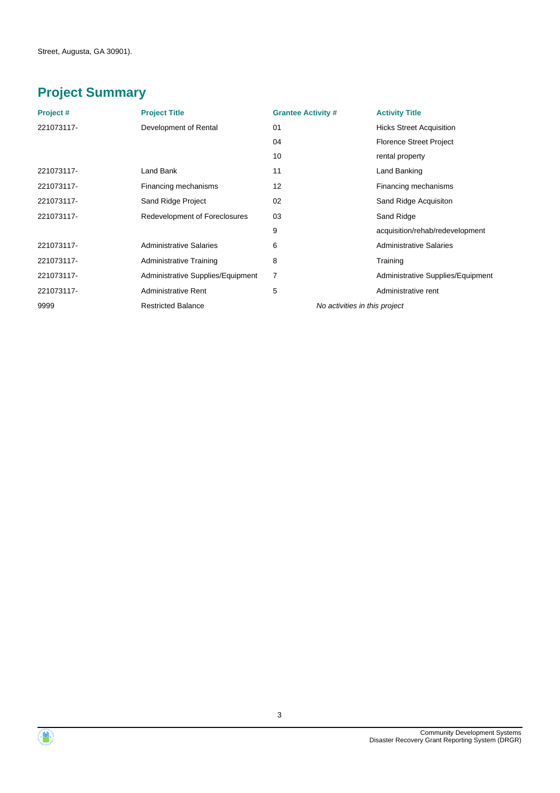# **Project Summary**

| Project#   | <b>Project Title</b>              | <b>Grantee Activity #</b> |                               | <b>Activity Title</b>             |
|------------|-----------------------------------|---------------------------|-------------------------------|-----------------------------------|
| 221073117- | Development of Rental             | 01                        |                               | <b>Hicks Street Acquisition</b>   |
|            |                                   | 04                        |                               | <b>Florence Street Project</b>    |
|            |                                   | 10                        |                               | rental property                   |
| 221073117- | Land Bank                         | 11                        |                               | Land Banking                      |
| 221073117- | Financing mechanisms              | 12                        |                               | Financing mechanisms              |
| 221073117- | Sand Ridge Project                | 02                        |                               | Sand Ridge Acquisiton             |
| 221073117- | Redevelopment of Foreclosures     | 03                        |                               | Sand Ridge                        |
|            |                                   | 9                         |                               | acquisition/rehab/redevelopment   |
| 221073117- | <b>Administrative Salaries</b>    | 6                         |                               | <b>Administrative Salaries</b>    |
| 221073117- | <b>Administrative Training</b>    | 8                         |                               | Training                          |
| 221073117- | Administrative Supplies/Equipment | 7                         |                               | Administrative Supplies/Equipment |
| 221073117- | <b>Administrative Rent</b>        | 5                         |                               | Administrative rent               |
| 9999       | <b>Restricted Balance</b>         |                           | No activities in this project |                                   |



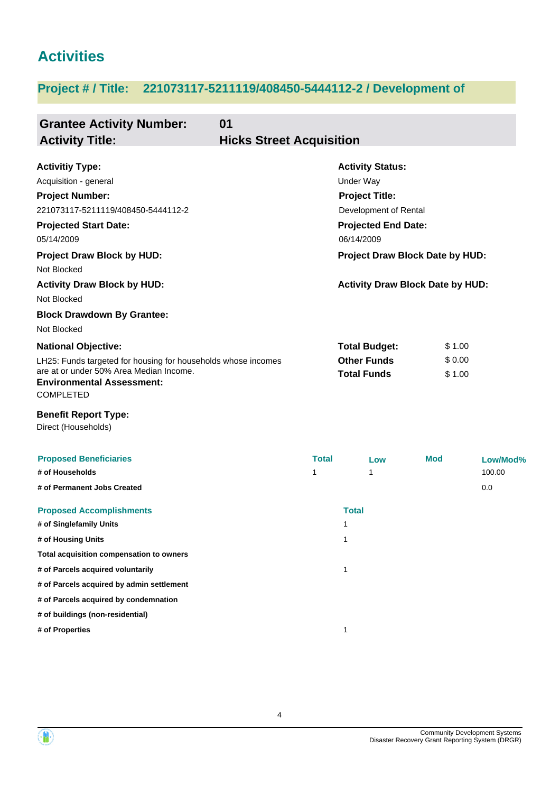# **Activities**

# **Project # / Title: 221073117-5211119/408450-5444112-2 / Development of**

| 01<br><b>Grantee Activity Number:</b><br><b>Activity Title:</b>                                                                                                  | <b>Hicks Street Acquisition</b> |                                          |                  |          |
|------------------------------------------------------------------------------------------------------------------------------------------------------------------|---------------------------------|------------------------------------------|------------------|----------|
| <b>Activitiy Type:</b>                                                                                                                                           |                                 | <b>Activity Status:</b>                  |                  |          |
| Acquisition - general                                                                                                                                            |                                 | Under Way                                |                  |          |
| <b>Project Number:</b>                                                                                                                                           |                                 | <b>Project Title:</b>                    |                  |          |
| 221073117-5211119/408450-5444112-2                                                                                                                               |                                 | Development of Rental                    |                  |          |
| <b>Projected Start Date:</b>                                                                                                                                     |                                 | <b>Projected End Date:</b>               |                  |          |
| 05/14/2009                                                                                                                                                       |                                 | 06/14/2009                               |                  |          |
| <b>Project Draw Block by HUD:</b>                                                                                                                                |                                 | Project Draw Block Date by HUD:          |                  |          |
| Not Blocked                                                                                                                                                      |                                 |                                          |                  |          |
| <b>Activity Draw Block by HUD:</b>                                                                                                                               |                                 | <b>Activity Draw Block Date by HUD:</b>  |                  |          |
| Not Blocked                                                                                                                                                      |                                 |                                          |                  |          |
| <b>Block Drawdown By Grantee:</b>                                                                                                                                |                                 |                                          |                  |          |
| Not Blocked                                                                                                                                                      |                                 |                                          |                  |          |
| <b>National Objective:</b>                                                                                                                                       |                                 | <b>Total Budget:</b>                     | \$1.00           |          |
| LH25: Funds targeted for housing for households whose incomes<br>are at or under 50% Area Median Income.<br><b>Environmental Assessment:</b><br><b>COMPLETED</b> |                                 | <b>Other Funds</b><br><b>Total Funds</b> | \$0.00<br>\$1.00 |          |
| <b>Benefit Report Type:</b><br>Direct (Households)                                                                                                               |                                 |                                          |                  |          |
| <b>Proposed Beneficiaries</b>                                                                                                                                    | <b>Total</b>                    | Low                                      | <b>Mod</b>       | Low/Mod% |
| # of Households                                                                                                                                                  | 1                               | 1                                        |                  | 100.00   |
| # of Permanent Jobs Created                                                                                                                                      |                                 |                                          |                  | 0.0      |
| <b>Proposed Accomplishments</b>                                                                                                                                  |                                 | <b>Total</b>                             |                  |          |
| # of Singlefamily Units                                                                                                                                          |                                 | 1                                        |                  |          |
| # of Housing Units                                                                                                                                               |                                 | 1                                        |                  |          |
| Total acquisition compensation to owners                                                                                                                         |                                 |                                          |                  |          |
| # of Parcels acquired voluntarily                                                                                                                                |                                 | $\mathbf{1}$                             |                  |          |
| # of Parcels acquired by admin settlement                                                                                                                        |                                 |                                          |                  |          |
| # of Parcels acquired by condemnation                                                                                                                            |                                 |                                          |                  |          |
| # of buildings (non-residential)                                                                                                                                 |                                 |                                          |                  |          |
| # of Properties                                                                                                                                                  |                                 | 1                                        |                  |          |



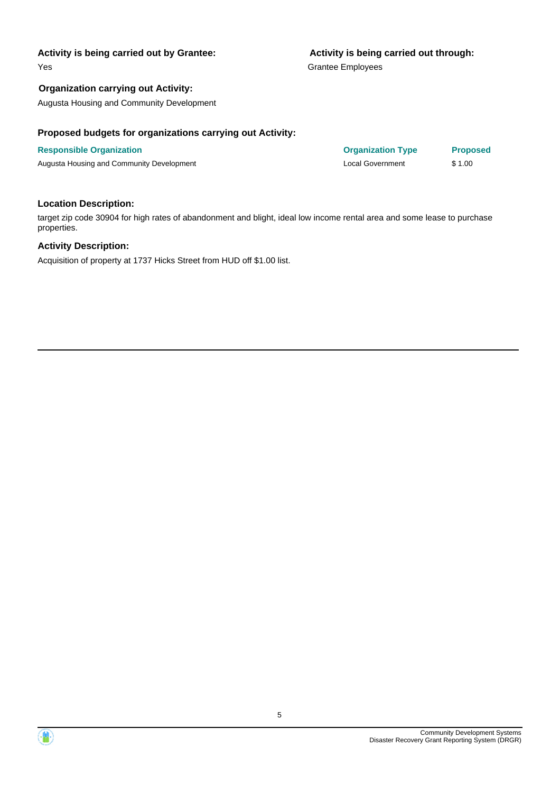Yes

#### **Organization carrying out Activity:**

Augusta Housing and Community Development

#### **Proposed budgets for organizations carrying out Activity:**

### **Responsible Organization Organization Type Proposed**

Augusta Housing and Community Development **Local Government** \$ 1.00

#### **Location Description:**

target zip code 30904 for high rates of abandonment and blight, ideal low income rental area and some lease to purchase properties.

#### **Activity Description:**

Acquisition of property at 1737 Hicks Street from HUD off \$1.00 list.

# **Activity is being carried out through:**

Grantee Employees

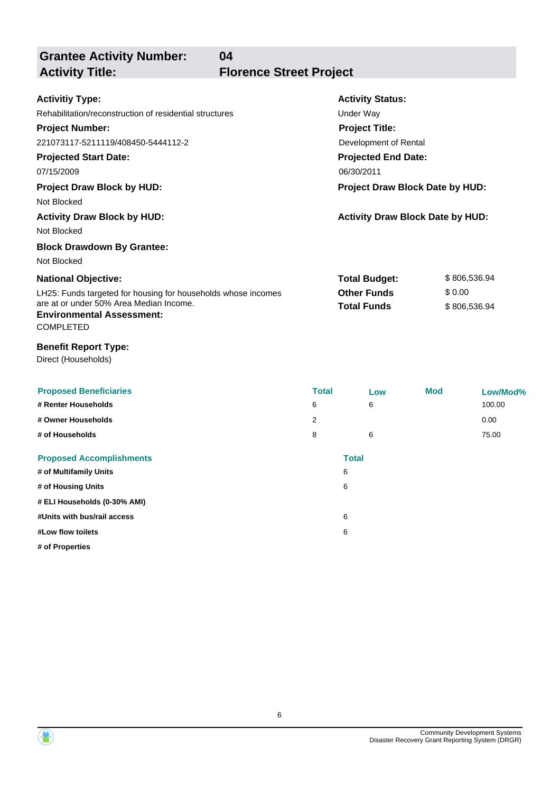**Grantee Activity Number:**

**Activity Title: Florence Street Project**

**04**

| <b>Activitiy Type:</b>                                                      | <b>Activity Status:</b>                 |              |
|-----------------------------------------------------------------------------|-----------------------------------------|--------------|
| Rehabilitation/reconstruction of residential structures                     | Under Way                               |              |
| <b>Project Number:</b>                                                      | <b>Project Title:</b>                   |              |
| 221073117-5211119/408450-5444112-2                                          | Development of Rental                   |              |
| <b>Projected Start Date:</b>                                                | <b>Projected End Date:</b>              |              |
| 07/15/2009                                                                  | 06/30/2011                              |              |
| <b>Project Draw Block by HUD:</b>                                           | Project Draw Block Date by HUD:         |              |
| Not Blocked                                                                 |                                         |              |
| <b>Activity Draw Block by HUD:</b>                                          | <b>Activity Draw Block Date by HUD:</b> |              |
| Not Blocked                                                                 |                                         |              |
| <b>Block Drawdown By Grantee:</b>                                           |                                         |              |
| Not Blocked                                                                 |                                         |              |
| <b>National Objective:</b>                                                  | <b>Total Budget:</b>                    | \$806,536.94 |
| LH25: Funds targeted for housing for households whose incomes               | <b>Other Funds</b>                      | \$0.00       |
| are at or under 50% Area Median Income.<br><b>Environmental Assessment:</b> | <b>Total Funds</b>                      | \$806,536.94 |
| <b>COMPLETED</b>                                                            |                                         |              |
| <b>Benefit Report Type:</b>                                                 |                                         |              |
| Direct (Households)                                                         |                                         |              |

| <b>Proposed Beneficiaries</b>   | <b>Total</b> | Low          | <b>Mod</b> | Low/Mod% |
|---------------------------------|--------------|--------------|------------|----------|
| # Renter Households             | 6            | 6            |            | 100.00   |
| # Owner Households              | 2            |              |            | 0.00     |
| # of Households                 | 8            | 6            |            | 75.00    |
| <b>Proposed Accomplishments</b> |              | <b>Total</b> |            |          |
| # of Multifamily Units          |              | 6            |            |          |
| # of Housing Units              |              | 6            |            |          |
| # ELI Households (0-30% AMI)    |              |              |            |          |
| #Units with bus/rail access     |              | 6            |            |          |
| #Low flow toilets               |              | 6            |            |          |
| # of Properties                 |              |              |            |          |

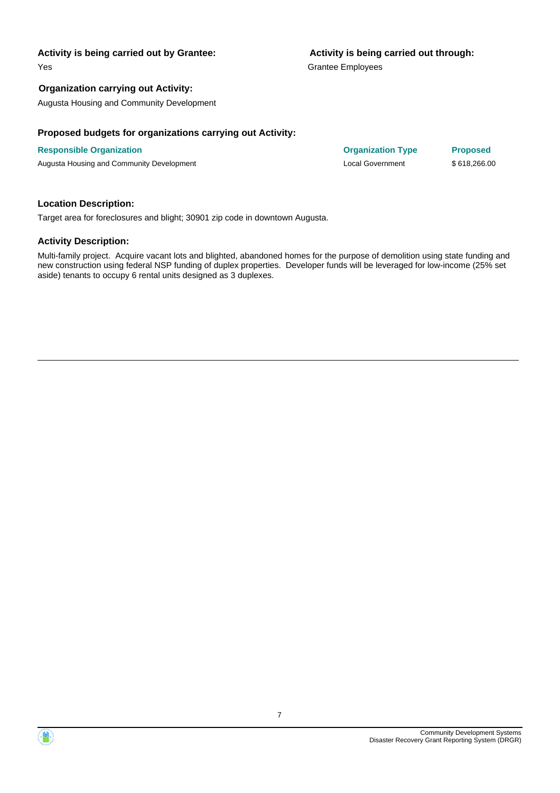Yes

#### **Organization carrying out Activity:**

Augusta Housing and Community Development

#### **Proposed budgets for organizations carrying out Activity:**

#### **Responsible Organization Organization Type Proposed**

Augusta Housing and Community Development **Local Government** \$ 618,266.00

#### **Location Description:**

Target area for foreclosures and blight; 30901 zip code in downtown Augusta.

#### **Activity Description:**

Multi-family project. Acquire vacant lots and blighted, abandoned homes for the purpose of demolition using state funding and new construction using federal NSP funding of duplex properties. Developer funds will be leveraged for low-income (25% set aside) tenants to occupy 6 rental units designed as 3 duplexes.

#### **Activity is being carried out through:**

Grantee Employees

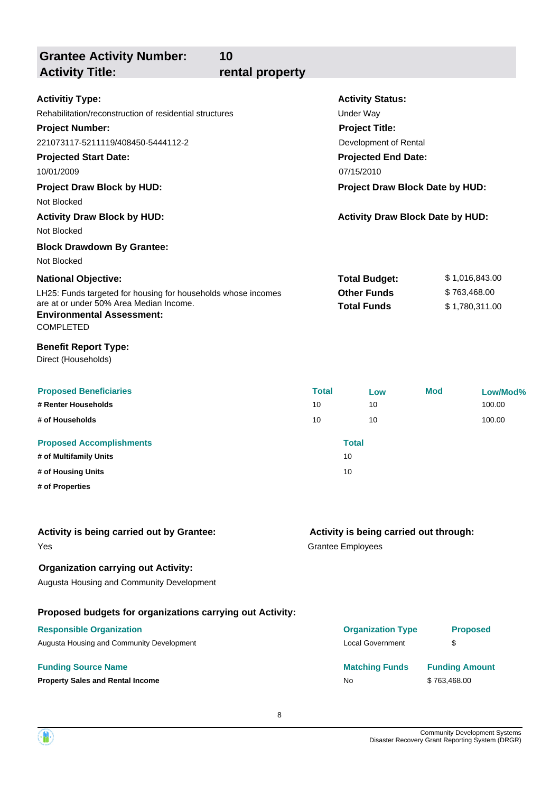| 10<br><b>Grantee Activity Number:</b><br><b>Activity Title:</b><br>rental property                                                                                                                                                                                                                       |                          |                                                                                                                                                                                                                         |                                                  |
|----------------------------------------------------------------------------------------------------------------------------------------------------------------------------------------------------------------------------------------------------------------------------------------------------------|--------------------------|-------------------------------------------------------------------------------------------------------------------------------------------------------------------------------------------------------------------------|--------------------------------------------------|
| <b>Activitiy Type:</b><br>Rehabilitation/reconstruction of residential structures<br><b>Project Number:</b><br>221073117-5211119/408450-5444112-2<br><b>Projected Start Date:</b><br>10/01/2009<br><b>Project Draw Block by HUD:</b><br>Not Blocked<br><b>Activity Draw Block by HUD:</b><br>Not Blocked |                          | <b>Activity Status:</b><br><b>Under Way</b><br><b>Project Title:</b><br>Development of Rental<br><b>Projected End Date:</b><br>07/15/2010<br>Project Draw Block Date by HUD:<br><b>Activity Draw Block Date by HUD:</b> |                                                  |
| <b>Block Drawdown By Grantee:</b><br>Not Blocked<br><b>National Objective:</b><br>LH25: Funds targeted for housing for households whose incomes<br>are at or under 50% Area Median Income.<br><b>Environmental Assessment:</b><br>COMPLETED                                                              |                          | <b>Total Budget:</b><br><b>Other Funds</b><br><b>Total Funds</b>                                                                                                                                                        | \$1,016,843.00<br>\$763,468.00<br>\$1,780,311.00 |
| <b>Benefit Report Type:</b><br>Direct (Households)                                                                                                                                                                                                                                                       |                          |                                                                                                                                                                                                                         |                                                  |
| <b>Proposed Beneficiaries</b><br># Renter Households<br># of Households<br><b>Proposed Accomplishments</b>                                                                                                                                                                                               | <b>Total</b><br>10<br>10 | Low<br>10<br>10<br><b>Total</b>                                                                                                                                                                                         | <b>Mod</b><br>Low/Mod%<br>100.00<br>100.00       |
| # of Multifamily Units<br># of Housing Units<br># of Properties                                                                                                                                                                                                                                          |                          | 10<br>10                                                                                                                                                                                                                |                                                  |
| Activity is being carried out by Grantee:<br>Yes                                                                                                                                                                                                                                                         |                          | Activity is being carried out through:<br><b>Grantee Employees</b>                                                                                                                                                      |                                                  |
| <b>Organization carrying out Activity:</b><br>Augusta Housing and Community Development                                                                                                                                                                                                                  |                          |                                                                                                                                                                                                                         |                                                  |
| Proposed budgets for organizations carrying out Activity:<br><b>Responsible Organization</b><br>Augusta Housing and Community Development                                                                                                                                                                |                          | <b>Organization Type</b><br><b>Local Government</b>                                                                                                                                                                     | <b>Proposed</b><br>\$                            |
| <b>Funding Source Name</b><br><b>Property Sales and Rental Income</b>                                                                                                                                                                                                                                    |                          | <b>Matching Funds</b><br>No                                                                                                                                                                                             | <b>Funding Amount</b><br>\$763,468.00            |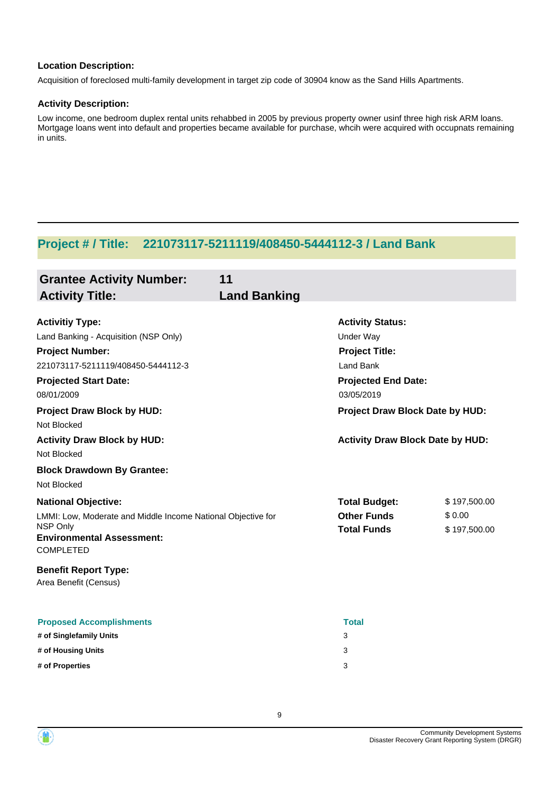#### **Location Description:**

Acquisition of foreclosed multi-family development in target zip code of 30904 know as the Sand Hills Apartments.

#### **Activity Description:**

Low income, one bedroom duplex rental units rehabbed in 2005 by previous property owner usinf three high risk ARM loans. Mortgage loans went into default and properties became available for purchase, whcih were acquired with occupnats remaining in units.

## **Project # / Title: 221073117-5211119/408450-5444112-3 / Land Bank**

| <b>Grantee Activity Number:</b><br><b>Activity Title:</b>                                                                                                                                                                         | 11<br><b>Land Banking</b> |                                                                                                                                                                  |                                        |
|-----------------------------------------------------------------------------------------------------------------------------------------------------------------------------------------------------------------------------------|---------------------------|------------------------------------------------------------------------------------------------------------------------------------------------------------------|----------------------------------------|
| <b>Activitiy Type:</b><br>Land Banking - Acquisition (NSP Only)<br><b>Project Number:</b><br>221073117-5211119/408450-5444112-3<br><b>Projected Start Date:</b><br>08/01/2009<br><b>Project Draw Block by HUD:</b><br>Not Blocked |                           | <b>Activity Status:</b><br><b>Under Way</b><br><b>Project Title:</b><br>Land Bank<br><b>Projected End Date:</b><br>03/05/2019<br>Project Draw Block Date by HUD: |                                        |
| <b>Activity Draw Block by HUD:</b><br>Not Blocked<br><b>Block Drawdown By Grantee:</b>                                                                                                                                            |                           | <b>Activity Draw Block Date by HUD:</b>                                                                                                                          |                                        |
| Not Blocked<br><b>National Objective:</b><br>LMMI: Low, Moderate and Middle Income National Objective for<br>NSP Only<br><b>Environmental Assessment:</b><br><b>COMPLETED</b>                                                     |                           | <b>Total Budget:</b><br><b>Other Funds</b><br><b>Total Funds</b>                                                                                                 | \$197,500.00<br>\$0.00<br>\$197,500.00 |
| <b>Benefit Report Type:</b><br>Area Benefit (Census)                                                                                                                                                                              |                           |                                                                                                                                                                  |                                        |
| <b>Proposed Accomplishments</b><br># of Singlefamily Units<br># of Housing Units<br># of Properties                                                                                                                               |                           | <b>Total</b><br>3<br>3<br>3                                                                                                                                      |                                        |

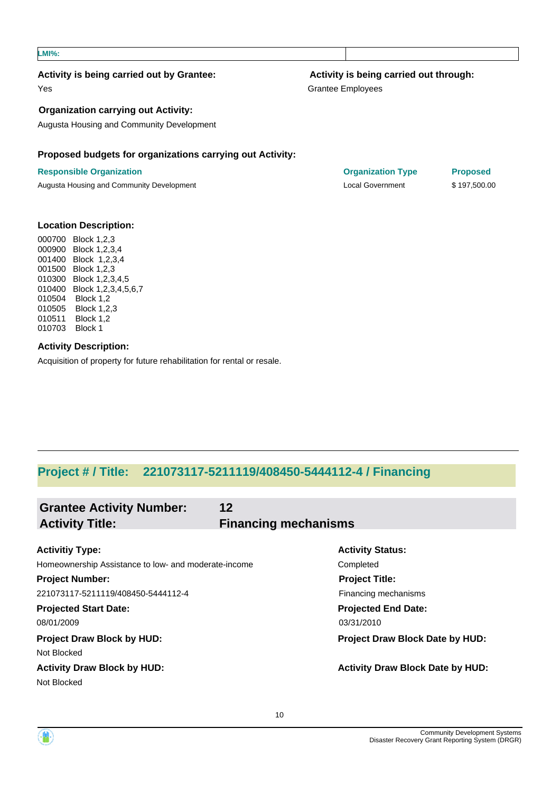#### **LMI%:**

#### **Activity is being carried out by Grantee:**

Yes

#### **Organization carrying out Activity:**

Augusta Housing and Community Development

#### **Proposed budgets for organizations carrying out Activity:**

#### **Responsible Organization Organization Type Proposed**

Augusta Housing and Community Development **Local Government** \$ 197,500.00

#### **Activity is being carried out through:**

Grantee Employees

#### **Location Description:**

000700 Block 1,2,3 000900 Block 1,2,3,4 001400 Block 1,2,3,4 001500 Block 1,2,3 010300 Block 1,2,3,4,5 010400 Block 1,2,3,4,5,6,7 010504 Block 1,2 010505 Block 1,2,3 010511 Block 1,2 010703 Block 1

#### **Activity Description:**

Acquisition of property for future rehabilitation for rental or resale.

### **Project # / Title: 221073117-5211119/408450-5444112-4 / Financing**

| <b>Grantee Activity Number:</b>                      | 12                          |                                         |
|------------------------------------------------------|-----------------------------|-----------------------------------------|
| <b>Activity Title:</b>                               | <b>Financing mechanisms</b> |                                         |
| <b>Activitiy Type:</b>                               |                             | <b>Activity Status:</b>                 |
| Homeownership Assistance to low- and moderate-income |                             | Completed                               |
| <b>Project Number:</b>                               |                             | <b>Project Title:</b>                   |
| 221073117-5211119/408450-5444112-4                   |                             | Financing mechanisms                    |
| <b>Projected Start Date:</b>                         |                             | <b>Projected End Date:</b>              |
| 08/01/2009                                           |                             | 03/31/2010                              |
| <b>Project Draw Block by HUD:</b>                    |                             | <b>Project Draw Block Date by HUD:</b>  |
| Not Blocked                                          |                             |                                         |
| <b>Activity Draw Block by HUD:</b>                   |                             | <b>Activity Draw Block Date by HUD:</b> |
| Not Blocked                                          |                             |                                         |
|                                                      |                             |                                         |

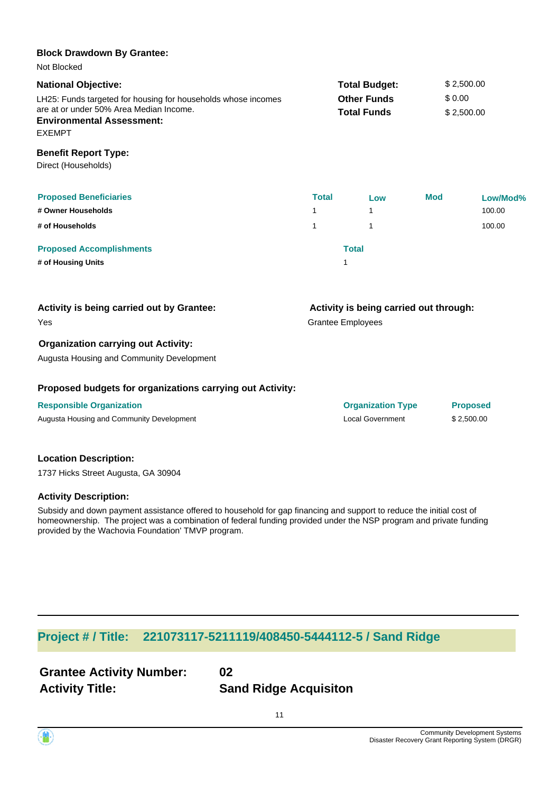### LH25: Funds targeted for housing for households whose incomes are at or under 50% Area Median Income. **National Objective:**  $$2,500.00$ **Other Funds** \$ 0.00 **Total Funds** \$ 2,500.00 **Environmental Assessment:** EXEMPT **Proposed Beneficiaries Total Low Mod Low/Mod% # Owner Households** 1 1 100.00 **# of Households** 1 1 100.00 **Proposed Accomplishments Total # of Housing Units** 1 Grantee Employees **Activity is being carried out through:** Yes **Activity is being carried out by Grantee: Organization carrying out Activity:** Direct (Households) **Benefit Report Type: Block Drawdown By Grantee:** Not Blocked

Augusta Housing and Community Development

#### **Proposed budgets for organizations carrying out Activity:**

**Responsible Organization Organization Type Proposed**

Augusta Housing and Community Development **Augusta Housing and Community Development** 4 and 2,500.00

#### **Location Description:**

1737 Hicks Street Augusta, GA 30904

#### **Activity Description:**

Subsidy and down payment assistance offered to household for gap financing and support to reduce the initial cost of homeownership. The project was a combination of federal funding provided under the NSP program and private funding provided by the Wachovia Foundation' TMVP program.

### **Project # / Title: 221073117-5211119/408450-5444112-5 / Sand Ridge**

| <b>Grantee Activity Number:</b> | 02                           |
|---------------------------------|------------------------------|
| <b>Activity Title:</b>          | <b>Sand Ridge Acquisiton</b> |

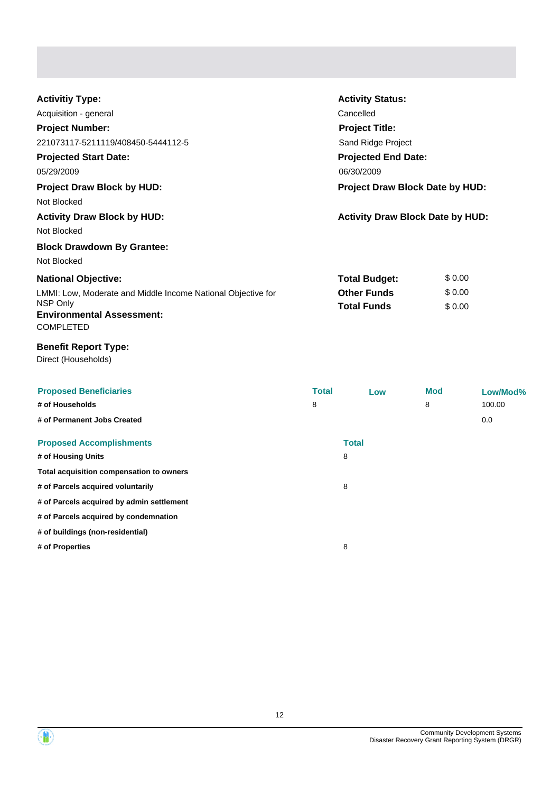| <b>Activitiy Type:</b>                                       | <b>Activity Status:</b>                 |        |  |
|--------------------------------------------------------------|-----------------------------------------|--------|--|
| Acquisition - general                                        | Cancelled                               |        |  |
| <b>Project Number:</b>                                       | <b>Project Title:</b>                   |        |  |
| 221073117-5211119/408450-5444112-5                           | Sand Ridge Project                      |        |  |
| <b>Projected Start Date:</b>                                 | <b>Projected End Date:</b>              |        |  |
| 05/29/2009                                                   | 06/30/2009                              |        |  |
| <b>Project Draw Block by HUD:</b>                            | <b>Project Draw Block Date by HUD:</b>  |        |  |
| Not Blocked                                                  |                                         |        |  |
| <b>Activity Draw Block by HUD:</b>                           | <b>Activity Draw Block Date by HUD:</b> |        |  |
| Not Blocked                                                  |                                         |        |  |
| <b>Block Drawdown By Grantee:</b>                            |                                         |        |  |
| Not Blocked                                                  |                                         |        |  |
| <b>National Objective:</b>                                   | <b>Total Budget:</b>                    | \$0.00 |  |
| LMMI: Low, Moderate and Middle Income National Objective for | <b>Other Funds</b>                      | \$0.00 |  |
| NSP Only                                                     | <b>Total Funds</b>                      | \$0.00 |  |
| <b>Environmental Assessment:</b>                             |                                         |        |  |
| <b>COMPLETED</b>                                             |                                         |        |  |

### **Benefit Report Type:**

Direct (Households)

| <b>Proposed Beneficiaries</b><br># of Households<br># of Permanent Jobs Created | <b>Total</b><br>8 | Low          | <b>Mod</b><br>8 | Low/Mod%<br>100.00<br>0.0 |
|---------------------------------------------------------------------------------|-------------------|--------------|-----------------|---------------------------|
| <b>Proposed Accomplishments</b>                                                 |                   | <b>Total</b> |                 |                           |
| # of Housing Units                                                              |                   | 8            |                 |                           |
| Total acquisition compensation to owners                                        |                   |              |                 |                           |
| # of Parcels acquired voluntarily                                               |                   | 8            |                 |                           |
| # of Parcels acquired by admin settlement                                       |                   |              |                 |                           |
| # of Parcels acquired by condemnation                                           |                   |              |                 |                           |
| # of buildings (non-residential)                                                |                   |              |                 |                           |
| # of Properties                                                                 |                   | 8            |                 |                           |

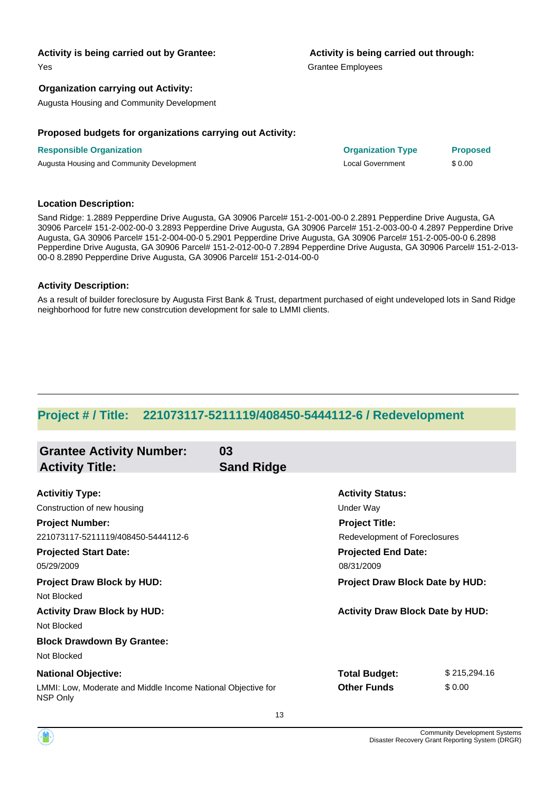Yes

#### **Organization carrying out Activity:**

Augusta Housing and Community Development

#### **Proposed budgets for organizations carrying out Activity:**

**Responsible Organization Organization Type Proposed** Augusta Housing and Community Development **Local Government** 5 0.00

#### **Location Description:**

Sand Ridge: 1.2889 Pepperdine Drive Augusta, GA 30906 Parcel# 151-2-001-00-0 2.2891 Pepperdine Drive Augusta, GA 30906 Parcel# 151-2-002-00-0 3.2893 Pepperdine Drive Augusta, GA 30906 Parcel# 151-2-003-00-0 4.2897 Pepperdine Drive Augusta, GA 30906 Parcel# 151-2-004-00-0 5.2901 Pepperdine Drive Augusta, GA 30906 Parcel# 151-2-005-00-0 6.2898 Pepperdine Drive Augusta, GA 30906 Parcel# 151-2-012-00-0 7.2894 Pepperdine Drive Augusta, GA 30906 Parcel# 151-2-013- 00-0 8.2890 Pepperdine Drive Augusta, GA 30906 Parcel# 151-2-014-00-0

#### **Activity Description:**

As a result of builder foreclosure by Augusta First Bank & Trust, department purchased of eight undeveloped lots in Sand Ridge neighborhood for futre new constrcution development for sale to LMMI clients.

## **Project # / Title: 221073117-5211119/408450-5444112-6 / Redevelopment**

| <b>Grantee Activity Number:</b><br><b>Activity Title:</b>                | 03<br><b>Sand Ridge</b> |                                         |              |
|--------------------------------------------------------------------------|-------------------------|-----------------------------------------|--------------|
|                                                                          |                         |                                         |              |
| <b>Activitiy Type:</b>                                                   |                         | <b>Activity Status:</b>                 |              |
| Construction of new housing                                              |                         | <b>Under Way</b>                        |              |
| <b>Project Number:</b>                                                   |                         | <b>Project Title:</b>                   |              |
| 221073117-5211119/408450-5444112-6                                       |                         | Redevelopment of Foreclosures           |              |
| <b>Projected Start Date:</b>                                             |                         | <b>Projected End Date:</b>              |              |
| 05/29/2009                                                               |                         | 08/31/2009                              |              |
| <b>Project Draw Block by HUD:</b>                                        |                         | <b>Project Draw Block Date by HUD:</b>  |              |
| Not Blocked                                                              |                         |                                         |              |
| <b>Activity Draw Block by HUD:</b>                                       |                         | <b>Activity Draw Block Date by HUD:</b> |              |
| Not Blocked                                                              |                         |                                         |              |
| <b>Block Drawdown By Grantee:</b>                                        |                         |                                         |              |
| Not Blocked                                                              |                         |                                         |              |
| <b>National Objective:</b>                                               |                         | <b>Total Budget:</b>                    | \$215,294.16 |
| LMMI: Low, Moderate and Middle Income National Objective for<br>NSP Only |                         | <b>Other Funds</b>                      | \$0.00       |

# **Activity is being carried out through:**

Grantee Employees

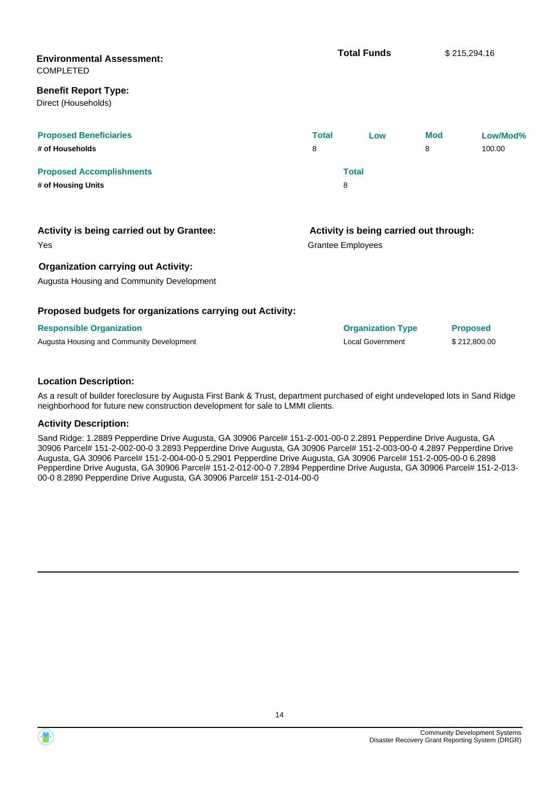| <b>Environmental Assessment:</b><br><b>COMPLETED</b>                                    |              | <b>Total Funds</b>                                                 |            | \$215,294.16    |
|-----------------------------------------------------------------------------------------|--------------|--------------------------------------------------------------------|------------|-----------------|
| <b>Benefit Report Type:</b><br>Direct (Households)                                      |              |                                                                    |            |                 |
| <b>Proposed Beneficiaries</b>                                                           | <b>Total</b> | Low                                                                | <b>Mod</b> | Low/Mod%        |
| # of Households                                                                         | 8            |                                                                    | 8          | 100.00          |
| <b>Proposed Accomplishments</b>                                                         |              | <b>Total</b>                                                       |            |                 |
| # of Housing Units                                                                      |              | 8                                                                  |            |                 |
| Activity is being carried out by Grantee:<br>Yes                                        |              | Activity is being carried out through:<br><b>Grantee Employees</b> |            |                 |
| <b>Organization carrying out Activity:</b><br>Augusta Housing and Community Development |              |                                                                    |            |                 |
| Proposed budgets for organizations carrying out Activity:                               |              |                                                                    |            |                 |
| <b>Responsible Organization</b>                                                         |              | <b>Organization Type</b>                                           |            | <b>Proposed</b> |
| Augusta Housing and Community Development                                               |              | <b>Local Government</b>                                            |            | \$212,800.00    |

#### **Location Description:**

As a result of builder foreclosure by Augusta First Bank & Trust, department purchased of eight undeveloped lots in Sand Ridge neighborhood for future new construction development for sale to LMMI clients.

#### **Activity Description:**

Sand Ridge: 1.2889 Pepperdine Drive Augusta, GA 30906 Parcel# 151-2-001-00-0 2.2891 Pepperdine Drive Augusta, GA 30906 Parcel# 151-2-002-00-0 3.2893 Pepperdine Drive Augusta, GA 30906 Parcel# 151-2-003-00-0 4.2897 Pepperdine Drive Augusta, GA 30906 Parcel# 151-2-004-00-0 5.2901 Pepperdine Drive Augusta, GA 30906 Parcel# 151-2-005-00-0 6.2898 Pepperdine Drive Augusta, GA 30906 Parcel# 151-2-012-00-0 7.2894 Pepperdine Drive Augusta, GA 30906 Parcel# 151-2-013- 00-0 8.2890 Pepperdine Drive Augusta, GA 30906 Parcel# 151-2-014-00-0

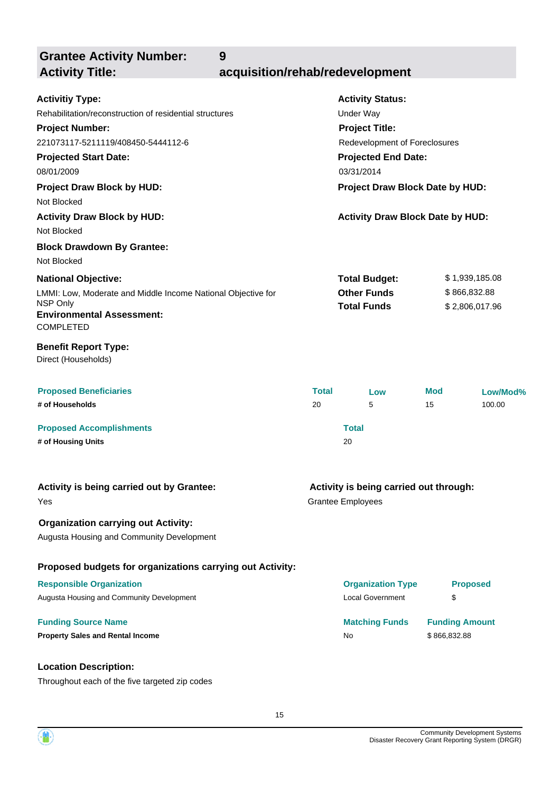**9**

**Grantee Activity Number:**

# **Activity Title: acquisition/rehab/redevelopment**

| <b>Activitiy Type:</b>                                       |              | <b>Activity Status:</b>                 |                       |          |
|--------------------------------------------------------------|--------------|-----------------------------------------|-----------------------|----------|
| Rehabilitation/reconstruction of residential structures      |              | Under Way                               |                       |          |
| <b>Project Number:</b>                                       |              | <b>Project Title:</b>                   |                       |          |
| 221073117-5211119/408450-5444112-6                           |              | Redevelopment of Foreclosures           |                       |          |
| <b>Projected Start Date:</b>                                 |              | <b>Projected End Date:</b>              |                       |          |
| 08/01/2009                                                   |              | 03/31/2014                              |                       |          |
| <b>Project Draw Block by HUD:</b>                            |              | Project Draw Block Date by HUD:         |                       |          |
| Not Blocked                                                  |              |                                         |                       |          |
| <b>Activity Draw Block by HUD:</b>                           |              | <b>Activity Draw Block Date by HUD:</b> |                       |          |
| Not Blocked                                                  |              |                                         |                       |          |
| <b>Block Drawdown By Grantee:</b>                            |              |                                         |                       |          |
| Not Blocked                                                  |              |                                         |                       |          |
| <b>National Objective:</b>                                   |              | <b>Total Budget:</b>                    | \$1,939,185.08        |          |
| LMMI: Low, Moderate and Middle Income National Objective for |              | <b>Other Funds</b>                      | \$866,832.88          |          |
| NSP Only<br><b>Environmental Assessment:</b>                 |              | <b>Total Funds</b>                      | \$2,806,017.96        |          |
| <b>COMPLETED</b>                                             |              |                                         |                       |          |
| <b>Benefit Report Type:</b><br>Direct (Households)           |              |                                         |                       |          |
| <b>Proposed Beneficiaries</b>                                | <b>Total</b> | Low                                     | Mod                   | Low/Mod% |
| # of Households                                              | 20           | 5                                       | 15                    | 100.00   |
| <b>Proposed Accomplishments</b>                              |              | <b>Total</b>                            |                       |          |
| # of Housing Units                                           |              | 20                                      |                       |          |
|                                                              |              |                                         |                       |          |
| Activity is being carried out by Grantee:                    |              | Activity is being carried out through:  |                       |          |
| Yes                                                          |              | <b>Grantee Employees</b>                |                       |          |
| <b>Organization carrying out Activity:</b>                   |              |                                         |                       |          |
| Augusta Housing and Community Development                    |              |                                         |                       |          |
|                                                              |              |                                         |                       |          |
| Proposed budgets for organizations carrying out Activity:    |              |                                         |                       |          |
| <b>Responsible Organization</b>                              |              | <b>Organization Type</b>                | <b>Proposed</b>       |          |
| Augusta Housing and Community Development                    |              | <b>Local Government</b>                 | \$                    |          |
| <b>Funding Source Name</b>                                   |              | <b>Matching Funds</b>                   | <b>Funding Amount</b> |          |
| <b>Property Sales and Rental Income</b>                      |              | No                                      | \$866,832.88          |          |
|                                                              |              |                                         |                       |          |
| <b>Location Description:</b>                                 |              |                                         |                       |          |
| Throughout each of the five targeted zip codes               |              |                                         |                       |          |

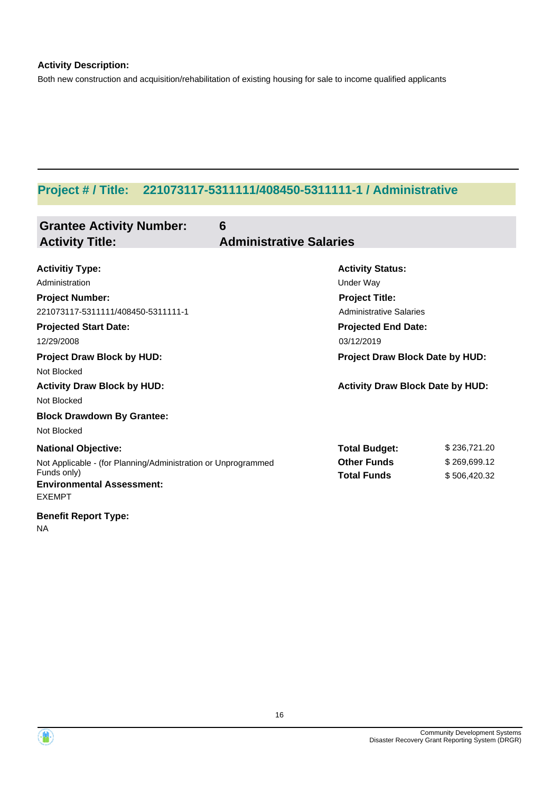### **Activity Description:**

Both new construction and acquisition/rehabilitation of existing housing for sale to income qualified applicants

# **Project # / Title: 221073117-5311111/408450-5311111-1 / Administrative**

| <b>Grantee Activity Number:</b><br><b>Activity Title:</b>     | 6<br><b>Administrative Salaries</b>     |              |
|---------------------------------------------------------------|-----------------------------------------|--------------|
|                                                               |                                         |              |
| <b>Activitiy Type:</b>                                        | <b>Activity Status:</b>                 |              |
| Administration                                                | <b>Under Way</b>                        |              |
| <b>Project Number:</b>                                        | <b>Project Title:</b>                   |              |
| 221073117-5311111/408450-5311111-1                            | <b>Administrative Salaries</b>          |              |
| <b>Projected Start Date:</b>                                  | <b>Projected End Date:</b>              |              |
| 12/29/2008                                                    | 03/12/2019                              |              |
| <b>Project Draw Block by HUD:</b>                             | Project Draw Block Date by HUD:         |              |
| Not Blocked                                                   |                                         |              |
| <b>Activity Draw Block by HUD:</b>                            | <b>Activity Draw Block Date by HUD:</b> |              |
| Not Blocked                                                   |                                         |              |
| <b>Block Drawdown By Grantee:</b>                             |                                         |              |
| Not Blocked                                                   |                                         |              |
| <b>National Objective:</b>                                    | <b>Total Budget:</b>                    | \$236,721.20 |
| Not Applicable - (for Planning/Administration or Unprogrammed | <b>Other Funds</b>                      | \$269,699.12 |
| Funds only)                                                   | <b>Total Funds</b>                      | \$506,420.32 |
| <b>Environmental Assessment:</b><br><b>EXEMPT</b>             |                                         |              |
| <b>Benefit Report Type:</b>                                   |                                         |              |

NA

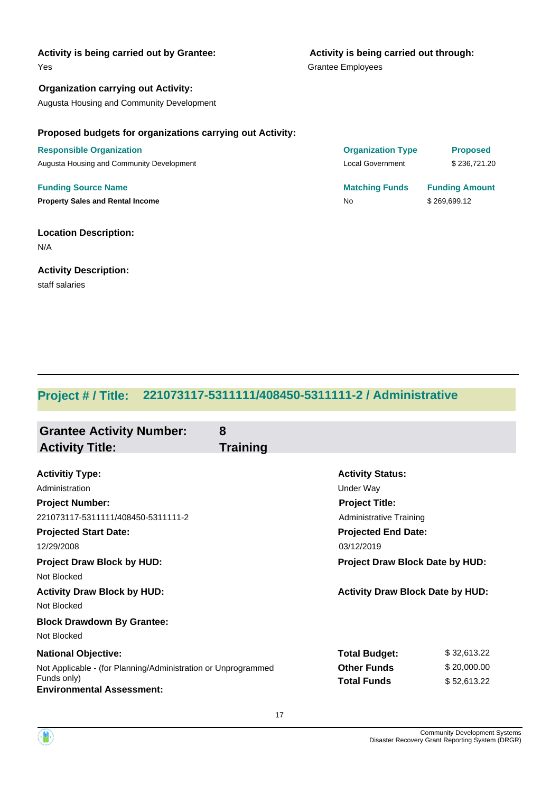#### Yes

**Organization carrying out Activity:** Augusta Housing and Community Development

# **Activity is being carried out through:**

Grantee Employees

#### **Proposed budgets for organizations carrying out Activity:**

**Responsible Organization** Augusta Housing and Community Development

**Funding Source Name Property Sales and Rental Income** No **1999.12** No \$269,699.12

#### **Location Description:**

N/A

#### **Activity Description:**

staff salaries

| <b>Organization Type</b> | <b>Proposed</b>       |
|--------------------------|-----------------------|
| <b>Local Government</b>  | \$236.721.20          |
| <b>Matching Funds</b>    | <b>Funding Amount</b> |

# **Project # / Title: 221073117-5311111/408450-5311111-2 / Administrative**

| <b>Grantee Activity Number:</b><br><b>Activity Title:</b>                                                                                      | 8<br><b>Training</b>                                                                                                          |                                           |
|------------------------------------------------------------------------------------------------------------------------------------------------|-------------------------------------------------------------------------------------------------------------------------------|-------------------------------------------|
| <b>Activitiy Type:</b><br>Administration<br><b>Project Number:</b><br>221073117-5311111/408450-5311111-2<br><b>Projected Start Date:</b>       | <b>Activity Status:</b><br>Under Way<br><b>Project Title:</b><br><b>Administrative Training</b><br><b>Projected End Date:</b> |                                           |
| 12/29/2008<br><b>Project Draw Block by HUD:</b><br>Not Blocked                                                                                 | 03/12/2019                                                                                                                    | Project Draw Block Date by HUD:           |
| <b>Activity Draw Block by HUD:</b><br>Not Blocked<br><b>Block Drawdown By Grantee:</b><br>Not Blocked                                          |                                                                                                                               | <b>Activity Draw Block Date by HUD:</b>   |
| <b>National Objective:</b><br>Not Applicable - (for Planning/Administration or Unprogrammed<br>Funds only)<br><b>Environmental Assessment:</b> | <b>Total Budget:</b><br><b>Other Funds</b><br><b>Total Funds</b>                                                              | \$32,613.22<br>\$20,000.00<br>\$52,613.22 |

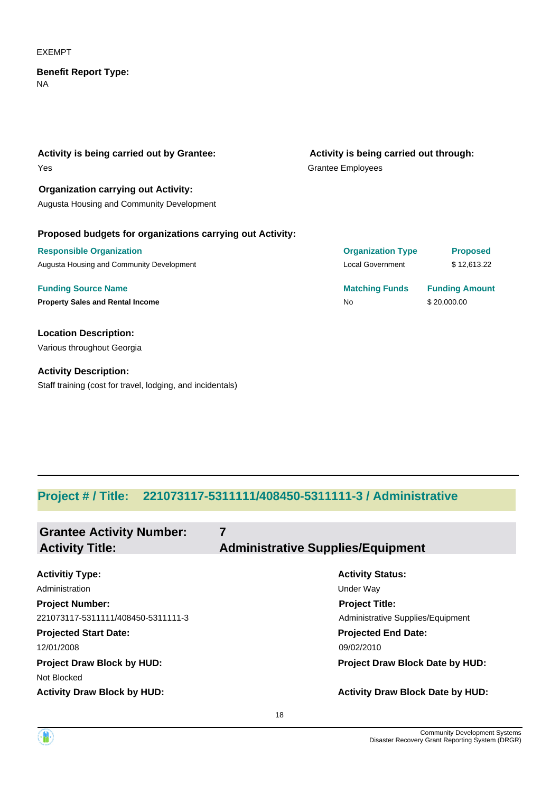#### EXEMPT

#### NA **Benefit Report Type:**

Yes **Activity is being carried out by Grantee:** Grantee Employees **Activity is being carried out through:**

**Organization carrying out Activity:** Augusta Housing and Community Development

#### **Proposed budgets for organizations carrying out Activity:**

| <b>Responsible Organization</b>           | <b>Organization Type</b> | <b>Proposed</b>       |
|-------------------------------------------|--------------------------|-----------------------|
| Augusta Housing and Community Development | Local Government         | \$12,613.22           |
| <b>Funding Source Name</b>                | <b>Matching Funds</b>    | <b>Funding Amount</b> |
| <b>Property Sales and Rental Income</b>   | No                       | \$20,000.00           |

**Location Description:** Various throughout Georgia

**Activity Description:** Staff training (cost for travel, lodging, and incidentals)

| <b>Matching Funds</b>    | <b>Funding Amount</b> |
|--------------------------|-----------------------|
| Local Government         | \$12.613.22           |
| <b>UI YAHILAHUH TYPU</b> | <u>FIUDUSCU</u>       |

### **Project # / Title: 221073117-5311111/408450-5311111-3 / Administrative**

| <b>Grantee Activity Number:</b><br><b>Activity Title:</b> | 7<br><b>Administrative Supplies/Equipment</b> |
|-----------------------------------------------------------|-----------------------------------------------|
| <b>Activitiy Type:</b>                                    | <b>Activity Status:</b>                       |
|                                                           |                                               |
| Administration                                            | Under Way                                     |
| <b>Project Number:</b>                                    | <b>Project Title:</b>                         |
| 221073117-5311111/408450-5311111-3                        | Administrative Supplies/Equipment             |
| <b>Projected Start Date:</b>                              | <b>Projected End Date:</b>                    |
| 12/01/2008                                                | 09/02/2010                                    |
| <b>Project Draw Block by HUD:</b>                         | Project Draw Block Date by HUD:               |
| Not Blocked                                               |                                               |
| <b>Activity Draw Block by HUD:</b>                        | <b>Activity Draw Block Date by HUD:</b>       |

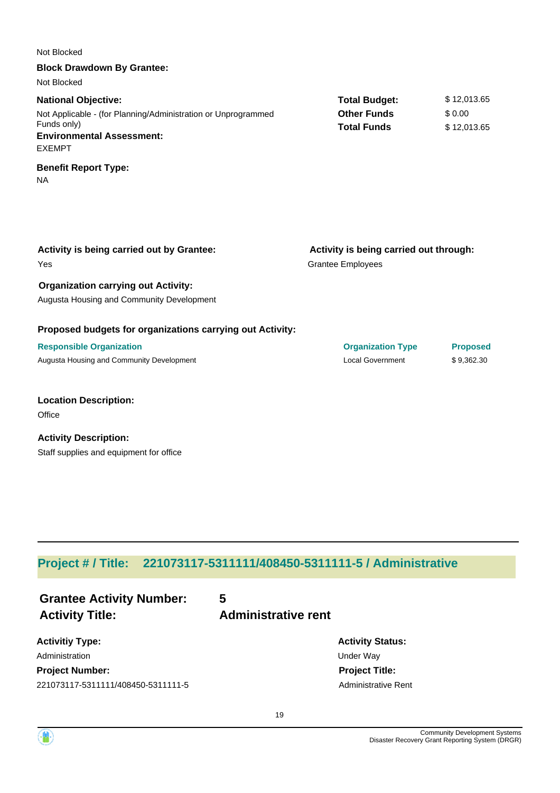| Not Blocked                                                                                                                                                     |                                                                    |                                      |
|-----------------------------------------------------------------------------------------------------------------------------------------------------------------|--------------------------------------------------------------------|--------------------------------------|
| <b>Block Drawdown By Grantee:</b>                                                                                                                               |                                                                    |                                      |
| Not Blocked                                                                                                                                                     |                                                                    |                                      |
| <b>National Objective:</b><br>Not Applicable - (for Planning/Administration or Unprogrammed<br>Funds only)<br><b>Environmental Assessment:</b><br><b>EXEMPT</b> | <b>Total Budget:</b><br><b>Other Funds</b><br><b>Total Funds</b>   | \$12,013.65<br>\$0.00<br>\$12,013.65 |
| <b>Benefit Report Type:</b><br><b>NA</b>                                                                                                                        |                                                                    |                                      |
| Activity is being carried out by Grantee:<br>Yes                                                                                                                | Activity is being carried out through:<br><b>Grantee Employees</b> |                                      |
| <b>Organization carrying out Activity:</b>                                                                                                                      |                                                                    |                                      |
| Augusta Housing and Community Development                                                                                                                       |                                                                    |                                      |
| Proposed budgets for organizations carrying out Activity:                                                                                                       |                                                                    |                                      |
| <b>Responsible Organization</b>                                                                                                                                 | <b>Organization Type</b>                                           | <b>Proposed</b>                      |
| Augusta Housing and Community Development                                                                                                                       | <b>Local Government</b>                                            | \$9,362.30                           |
| <b>Location Description:</b><br>Office                                                                                                                          |                                                                    |                                      |
| <b>Activity Description:</b><br>Staff supplies and equipment for office                                                                                         |                                                                    |                                      |

# **Project # / Title: 221073117-5311111/408450-5311111-5 / Administrative**

| <b>Grantee Activity Number:</b><br><b>Activity Title:</b> | 5<br><b>Administrative rent</b> |
|-----------------------------------------------------------|---------------------------------|
| <b>Activitiy Type:</b>                                    |                                 |
| Administration                                            |                                 |

**Project Number:** 221073117-5311111/408450-5311111-5

**Activity Status: Under Way Project Title:** Administrative Rent

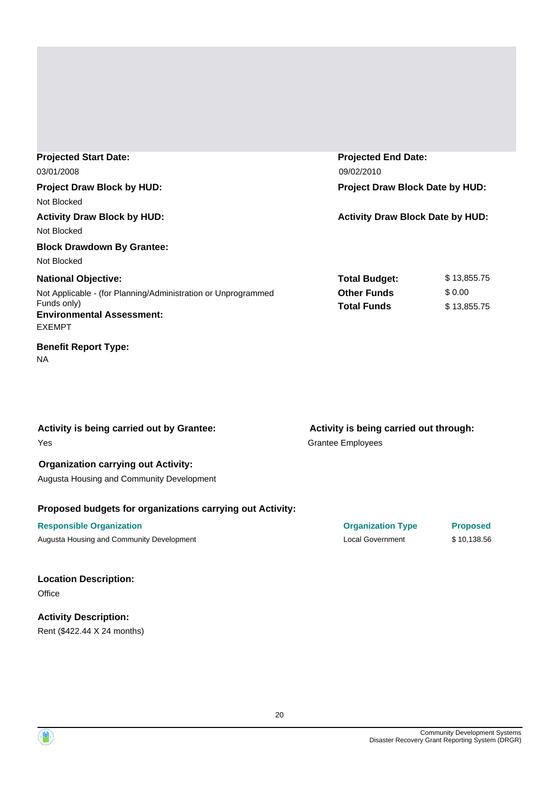| <b>Projected Start Date:</b><br>03/01/2008                                                                                                                      | <b>Projected End Date:</b><br>09/02/2010                         |                                      |
|-----------------------------------------------------------------------------------------------------------------------------------------------------------------|------------------------------------------------------------------|--------------------------------------|
| <b>Project Draw Block by HUD:</b><br>Not Blocked                                                                                                                | Project Draw Block Date by HUD:                                  |                                      |
| <b>Activity Draw Block by HUD:</b><br>Not Blocked<br><b>Block Drawdown By Grantee:</b><br>Not Blocked                                                           | <b>Activity Draw Block Date by HUD:</b>                          |                                      |
| <b>National Objective:</b><br>Not Applicable - (for Planning/Administration or Unprogrammed<br>Funds only)<br><b>Environmental Assessment:</b><br><b>EXEMPT</b> | <b>Total Budget:</b><br><b>Other Funds</b><br><b>Total Funds</b> | \$13,855.75<br>\$0.00<br>\$13,855.75 |

### **Benefit Report Type:**

NA

Yes **Activity is being carried out by Grantee:**

#### **Organization carrying out Activity:**

Augusta Housing and Community Development

### **Proposed budgets for organizations carrying out Activity:**

Augusta Housing and Community Development **Local Government** 5 10,138.56

#### **Location Description: Office**

### **Activity Description:** Rent (\$422.44 X 24 months)

Grantee Employees **Activity is being carried out through:**

**Responsible Organization Organization Type Proposed**